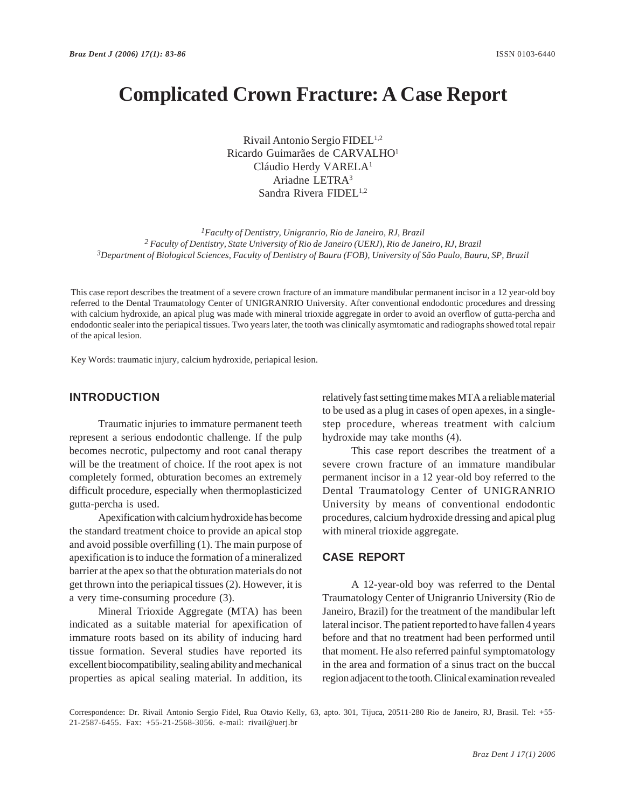# **Complicated Crown Fracture: A Case Report**

Rivail Antonio Sergio FIDEL<sup>1,2</sup> Ricardo Guimarães de CARVALHO1 Cláudio Herdy VARELA<sup>1</sup> Ariadne LETRA3 Sandra Rivera FIDEL<sup>1,2</sup>

*1Faculty of Dentistry, Unigranrio, Rio de Janeiro, RJ, Brazil 2 Faculty of Dentistry, State University of Rio de Janeiro (UERJ), Rio de Janeiro, RJ, Brazil 3Department of Biological Sciences, Faculty of Dentistry of Bauru (FOB), University of São Paulo, Bauru, SP, Brazil*

This case report describes the treatment of a severe crown fracture of an immature mandibular permanent incisor in a 12 year-old boy referred to the Dental Traumatology Center of UNIGRANRIO University. After conventional endodontic procedures and dressing with calcium hydroxide, an apical plug was made with mineral trioxide aggregate in order to avoid an overflow of gutta-percha and endodontic sealer into the periapical tissues. Two years later, the tooth was clinically asymtomatic and radiographs showed total repair of the apical lesion.

Key Words: traumatic injury, calcium hydroxide, periapical lesion.

#### **INTRODUCTION**

Traumatic injuries to immature permanent teeth represent a serious endodontic challenge. If the pulp becomes necrotic, pulpectomy and root canal therapy will be the treatment of choice. If the root apex is not completely formed, obturation becomes an extremely difficult procedure, especially when thermoplasticized gutta-percha is used.

Apexification with calcium hydroxide has become the standard treatment choice to provide an apical stop and avoid possible overfilling (1). The main purpose of apexification is to induce the formation of a mineralized barrier at the apex so that the obturation materials do not get thrown into the periapical tissues (2). However, it is a very time-consuming procedure (3).

Mineral Trioxide Aggregate (MTA) has been indicated as a suitable material for apexification of immature roots based on its ability of inducing hard tissue formation. Several studies have reported its excellent biocompatibility, sealing ability and mechanical properties as apical sealing material. In addition, its relatively fast setting time makes MTA a reliable material to be used as a plug in cases of open apexes, in a singlestep procedure, whereas treatment with calcium hydroxide may take months (4).

This case report describes the treatment of a severe crown fracture of an immature mandibular permanent incisor in a 12 year-old boy referred to the Dental Traumatology Center of UNIGRANRIO University by means of conventional endodontic procedures, calcium hydroxide dressing and apical plug with mineral trioxide aggregate.

### **CASE REPORT**

A 12-year-old boy was referred to the Dental Traumatology Center of Unigranrio University (Rio de Janeiro, Brazil) for the treatment of the mandibular left lateral incisor. The patient reported to have fallen 4 years before and that no treatment had been performed until that moment. He also referred painful symptomatology in the area and formation of a sinus tract on the buccal region adjacent to the tooth. Clinical examination revealed

Correspondence: Dr. Rivail Antonio Sergio Fidel, Rua Otavio Kelly, 63, apto. 301, Tijuca, 20511-280 Rio de Janeiro, RJ, Brasil. Tel: +55- 21-2587-6455. Fax: +55-21-2568-3056. e-mail: rivail@uerj.br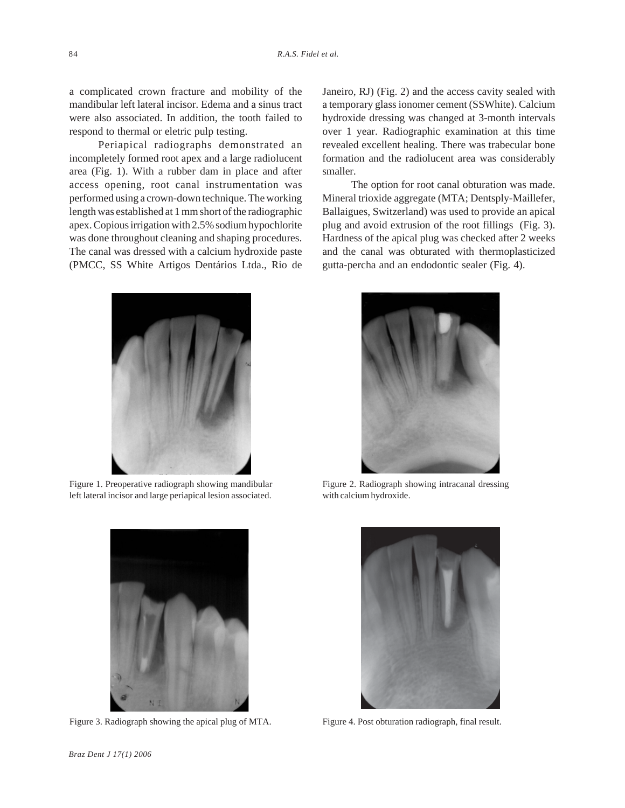a complicated crown fracture and mobility of the mandibular left lateral incisor. Edema and a sinus tract were also associated. In addition, the tooth failed to respond to thermal or eletric pulp testing.

Periapical radiographs demonstrated an incompletely formed root apex and a large radiolucent area (Fig. 1). With a rubber dam in place and after access opening, root canal instrumentation was performed using a crown-down technique. The working length was established at 1 mm short of the radiographic apex. Copious irrigation with 2.5% sodium hypochlorite was done throughout cleaning and shaping procedures. The canal was dressed with a calcium hydroxide paste (PMCC, SS White Artigos Dentários Ltda., Rio de Janeiro, RJ) (Fig. 2) and the access cavity sealed with a temporary glass ionomer cement (SSWhite). Calcium hydroxide dressing was changed at 3-month intervals over 1 year. Radiographic examination at this time revealed excellent healing. There was trabecular bone formation and the radiolucent area was considerably smaller.

The option for root canal obturation was made. Mineral trioxide aggregate (MTA; Dentsply-Maillefer, Ballaigues, Switzerland) was used to provide an apical plug and avoid extrusion of the root fillings (Fig. 3). Hardness of the apical plug was checked after 2 weeks and the canal was obturated with thermoplasticized gutta-percha and an endodontic sealer (Fig. 4).



Figure 1. Preoperative radiograph showing mandibular left lateral incisor and large periapical lesion associated.



Figure 3. Radiograph showing the apical plug of MTA. Figure 4. Post obturation radiograph, final result.



Figure 2. Radiograph showing intracanal dressing with calcium hydroxide.

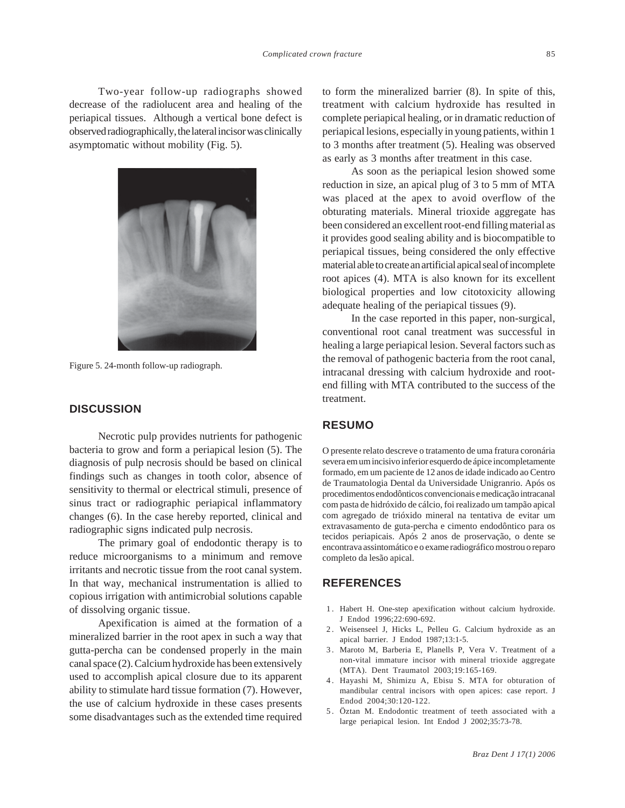Two-year follow-up radiographs showed decrease of the radiolucent area and healing of the periapical tissues. Although a vertical bone defect is observed radiographically, the lateral incisor was clinically asymptomatic without mobility (Fig. 5).



Figure 5. 24-month follow-up radiograph.

## **DISCUSSION**

Necrotic pulp provides nutrients for pathogenic bacteria to grow and form a periapical lesion (5). The diagnosis of pulp necrosis should be based on clinical findings such as changes in tooth color, absence of sensitivity to thermal or electrical stimuli, presence of sinus tract or radiographic periapical inflammatory changes (6). In the case hereby reported, clinical and radiographic signs indicated pulp necrosis.

The primary goal of endodontic therapy is to reduce microorganisms to a minimum and remove irritants and necrotic tissue from the root canal system. In that way, mechanical instrumentation is allied to copious irrigation with antimicrobial solutions capable of dissolving organic tissue.

Apexification is aimed at the formation of a mineralized barrier in the root apex in such a way that gutta-percha can be condensed properly in the main canal space (2). Calcium hydroxide has been extensively used to accomplish apical closure due to its apparent ability to stimulate hard tissue formation (7). However, the use of calcium hydroxide in these cases presents some disadvantages such as the extended time required

to form the mineralized barrier (8). In spite of this, treatment with calcium hydroxide has resulted in complete periapical healing, or in dramatic reduction of periapical lesions, especially in young patients, within 1 to 3 months after treatment (5). Healing was observed as early as 3 months after treatment in this case.

As soon as the periapical lesion showed some reduction in size, an apical plug of 3 to 5 mm of MTA was placed at the apex to avoid overflow of the obturating materials. Mineral trioxide aggregate has been considered an excellent root-end filling material as it provides good sealing ability and is biocompatible to periapical tissues, being considered the only effective material able to create an artificial apical seal of incomplete root apices (4). MTA is also known for its excellent biological properties and low citotoxicity allowing adequate healing of the periapical tissues (9).

In the case reported in this paper, non-surgical, conventional root canal treatment was successful in healing a large periapical lesion. Several factors such as the removal of pathogenic bacteria from the root canal, intracanal dressing with calcium hydroxide and rootend filling with MTA contributed to the success of the treatment.

#### **RESUMO**

O presente relato descreve o tratamento de uma fratura coronária severa em um incisivo inferior esquerdo de ápice incompletamente formado, em um paciente de 12 anos de idade indicado ao Centro de Traumatologia Dental da Universidade Unigranrio. Após os procedimentos endodônticos convencionais e medicação intracanal com pasta de hidróxido de cálcio, foi realizado um tampão apical com agregado de trióxido mineral na tentativa de evitar um extravasamento de guta-percha e cimento endodôntico para os tecidos periapicais. Após 2 anos de proservação, o dente se encontrava assintomático e o exame radiográfico mostrou o reparo completo da lesão apical.

## **REFERENCES**

- 1 . Habert H. One-step apexification without calcium hydroxide. J Endod 1996;22:690-692.
- 2 . Weisenseel J, Hicks L, Pelleu G. Calcium hydroxide as an apical barrier. J Endod 1987;13:1-5.
- 3 . Maroto M, Barberia E, Planells P, Vera V. Treatment of a non-vital immature incisor with mineral trioxide aggregate (MTA). Dent Traumatol 2003;19:165-169.
- 4. Hayashi M, Shimizu A, Ebisu S. MTA for obturation of mandibular central incisors with open apices: case report. J Endod 2004;30:120-122.
- 5 . Öztan M. Endodontic treatment of teeth associated with a large periapical lesion. Int Endod J 2002;35:73-78.